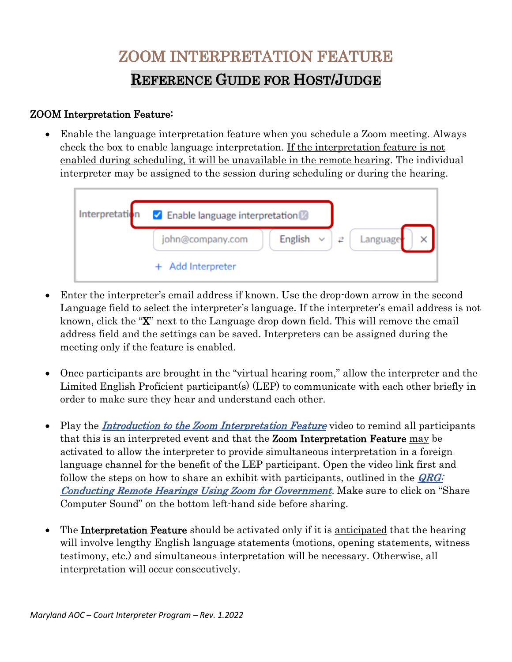# ZOOM INTERPRETATION FEATURE REFERENCE GUIDE FOR HOST/JUDGE

## ZOOM Interpretation Feature:

• Enable the language interpretation feature when you schedule a Zoom meeting. Always check the box to enable language interpretation. If the interpretation feature is not enabled during scheduling, it will be unavailable in the remote hearing. The individual interpreter may be assigned to the session during scheduling or during the hearing.



- Enter the interpreter's email address if known. Use the drop-down arrow in the second Language field to select the interpreter's language. If the interpreter's email address is not known, click the "X" next to the Language drop down field. This will remove the email address field and the settings can be saved. Interpreters can be assigned during the meeting only if the feature is enabled.
- Once participants are brought in the "virtual hearing room," allow the interpreter and the Limited English Proficient participant(s) (LEP) to communicate with each other briefly in order to make sure they hear and understand each other.
- Play the *Introduction to the Zoom Interpretation Feature* video to remind all participants that this is an interpreted event and that the Zoom Interpretation Feature may be activated to allow the interpreter to provide simultaneous interpretation in a foreign language channel for the benefit of the LEP participant. Open the video link first and follow the steps on how to share an exhibit with participants, outlined in the  $QRG$ . **[Conducting Remote Hearings Using Zoom for Government.](https://courtnet.courts.state.md.us/technologyeducation/pdf/qrgzoomconductingremotehearings.pdf)** Make sure to click on "Share" Computer Sound" on the bottom left-hand side before sharing.
- The **Interpretation Feature** should be activated only if it is anticipated that the hearing will involve lengthy English language statements (motions, opening statements, witness testimony, etc.) and simultaneous interpretation will be necessary. Otherwise, all interpretation will occur consecutively.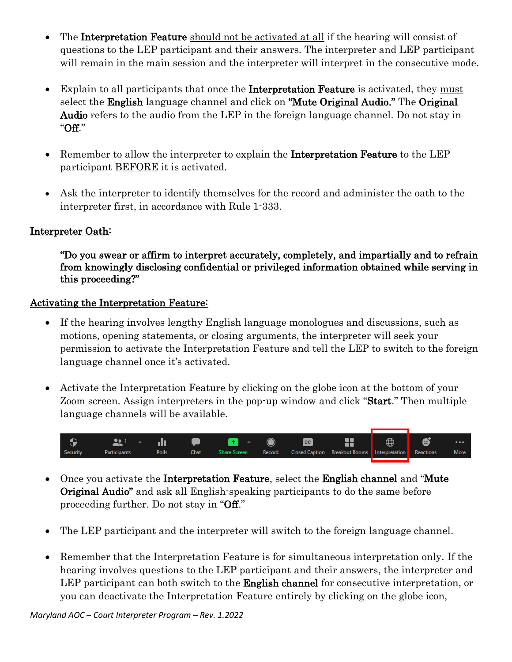- The Interpretation Feature should not be activated at all if the hearing will consist of questions to the LEP participant and their answers. The interpreter and LEP participant will remain in the main session and the interpreter will interpret in the consecutive mode.
- Explain to all participants that once the **Interpretation Feature** is activated, they must select the English language channel and click on "Mute Original Audio." The Original Audio refers to the audio from the LEP in the foreign language channel. Do not stay in "Off."
- Remember to allow the interpreter to explain the **Interpretation Feature** to the LEP participant BEFORE it is activated.
- Ask the interpreter to identify themselves for the record and administer the oath to the interpreter first, in accordance with Rule 1-333.

# Interpreter Oath:

"Do you swear or affirm to interpret accurately, completely, and impartially and to refrain from knowingly disclosing confidential or privileged information obtained while serving in this proceeding?"

## Activating the Interpretation Feature:

- If the hearing involves lengthy English language monologues and discussions, such as motions, opening statements, or closing arguments, the interpreter will seek your permission to activate the Interpretation Feature and tell the LEP to switch to the foreign language channel once it's activated.
- Activate the Interpretation Feature by clicking on the globe icon at the bottom of your Zoom screen. Assign interpreters in the pop-up window and click "Start." Then multiple language channels will be available.



- Once you activate the Interpretation Feature, select the English channel and "Mute" Original Audio" and ask all English-speaking participants to do the same before proceeding further. Do not stay in "Off."
- The LEP participant and the interpreter will switch to the foreign language channel.
- Remember that the Interpretation Feature is for simultaneous interpretation only. If the hearing involves questions to the LEP participant and their answers, the interpreter and LEP participant can both switch to the **English channel** for consecutive interpretation, or you can deactivate the Interpretation Feature entirely by clicking on the globe icon,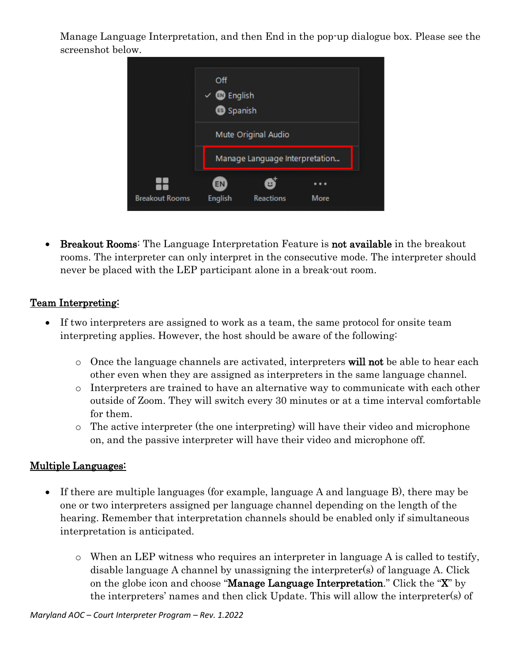Manage Language Interpretation, and then End in the pop-up dialogue box. Please see the screenshot below.



• Breakout Rooms: The Language Interpretation Feature is not available in the breakout rooms. The interpreter can only interpret in the consecutive mode. The interpreter should never be placed with the LEP participant alone in a break-out room.

## Team Interpreting:

- If two interpreters are assigned to work as a team, the same protocol for onsite team interpreting applies. However, the host should be aware of the following:
	- $\circ$  Once the language channels are activated, interpreters will not be able to hear each other even when they are assigned as interpreters in the same language channel.
	- o Interpreters are trained to have an alternative way to communicate with each other outside of Zoom. They will switch every 30 minutes or at a time interval comfortable for them.
	- o The active interpreter (the one interpreting) will have their video and microphone on, and the passive interpreter will have their video and microphone off.

# Multiple Languages:

- If there are multiple languages (for example, language A and language B), there may be one or two interpreters assigned per language channel depending on the length of the hearing. Remember that interpretation channels should be enabled only if simultaneous interpretation is anticipated.
	- $\circ$  When an LEP witness who requires an interpreter in language A is called to testify, disable language A channel by unassigning the interpreter(s) of language A. Click on the globe icon and choose "**Manage Language Interpretation**." Click the "X" by the interpreters' names and then click Update. This will allow the interpreter(s) of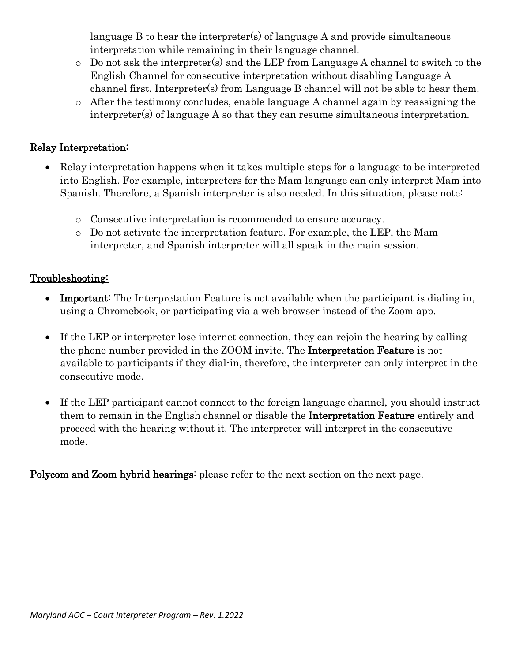language B to hear the interpreter(s) of language A and provide simultaneous interpretation while remaining in their language channel.

- o Do not ask the interpreter(s) and the LEP from Language A channel to switch to the English Channel for consecutive interpretation without disabling Language A channel first. Interpreter(s) from Language B channel will not be able to hear them.
- o After the testimony concludes, enable language A channel again by reassigning the interpreter(s) of language A so that they can resume simultaneous interpretation.

## Relay Interpretation:

- Relay interpretation happens when it takes multiple steps for a language to be interpreted into English. For example, interpreters for the Mam language can only interpret Mam into Spanish. Therefore, a Spanish interpreter is also needed. In this situation, please note:
	- o Consecutive interpretation is recommended to ensure accuracy.
	- o Do not activate the interpretation feature. For example, the LEP, the Mam interpreter, and Spanish interpreter will all speak in the main session.

## Troubleshooting:

- Important: The Interpretation Feature is not available when the participant is dialing in, using a Chromebook, or participating via a web browser instead of the Zoom app.
- If the LEP or interpreter lose internet connection, they can rejoin the hearing by calling the phone number provided in the ZOOM invite. The Interpretation Feature is not available to participants if they dial-in, therefore, the interpreter can only interpret in the consecutive mode.
- If the LEP participant cannot connect to the foreign language channel, you should instruct them to remain in the English channel or disable the Interpretation Feature entirely and proceed with the hearing without it. The interpreter will interpret in the consecutive mode.

#### Polycom and Zoom hybrid hearings: please refer to the next section on the next page.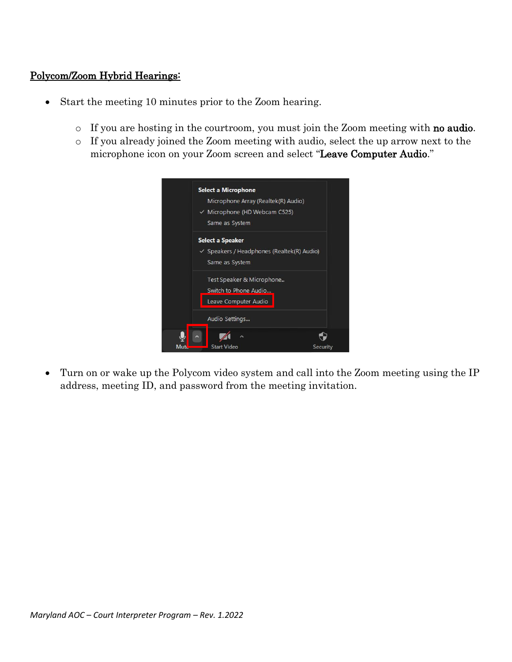#### Polycom/Zoom Hybrid Hearings:

- Start the meeting 10 minutes prior to the Zoom hearing.
	- o If you are hosting in the courtroom, you must join the Zoom meeting with no audio.
	- o If you already joined the Zoom meeting with audio, select the up arrow next to the microphone icon on your Zoom screen and select "Leave Computer Audio."



• Turn on or wake up the Polycom video system and call into the Zoom meeting using the IP address, meeting ID, and password from the meeting invitation.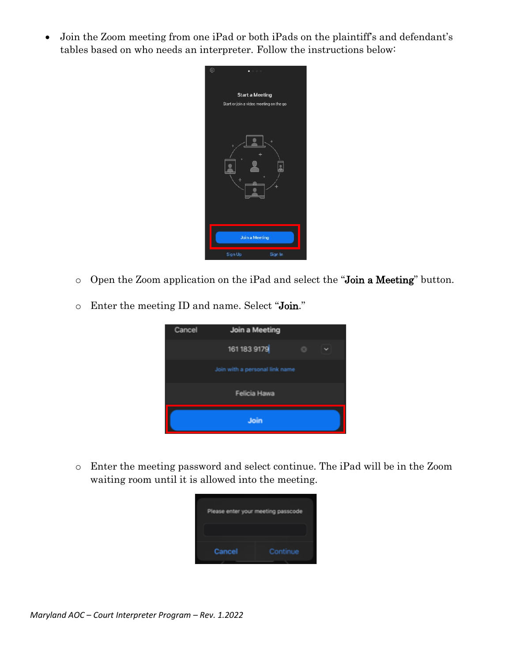• Join the Zoom meeting from one iPad or both iPads on the plaintiff's and defendant's tables based on who needs an interpreter. Follow the instructions below:



- o Open the Zoom application on the iPad and select the "Join a Meeting" button.
- o Enter the meeting ID and name. Select "Join."



o Enter the meeting password and select continue. The iPad will be in the Zoom waiting room until it is allowed into the meeting.

| Please enter your meeting passcode |          |
|------------------------------------|----------|
| Cancel                             | Continue |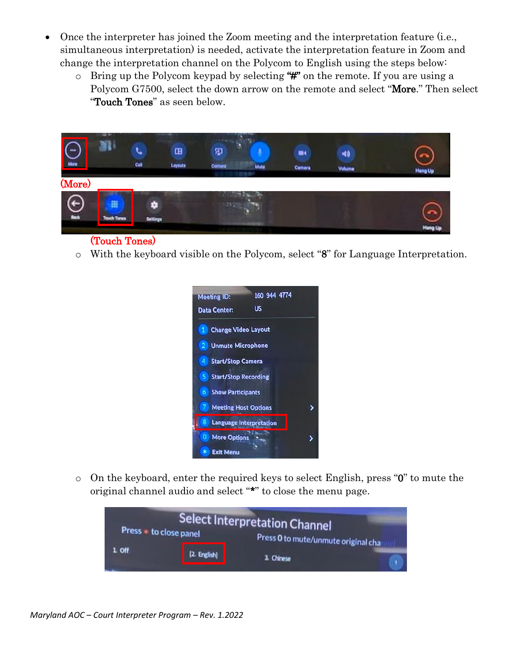- Once the interpreter has joined the Zoom meeting and the interpretation feature (i.e., simultaneous interpretation) is needed, activate the interpretation feature in Zoom and change the interpretation channel on the Polycom to English using the steps below:
	- o Bring up the Polycom keypad by selecting "#" on the remote. If you are using a Polycom G7500, select the down arrow on the remote and select "More." Then select "Touch Tones" as seen below.



#### (Touch Tones)

o With the keyboard visible on the Polycom, select "8" for Language Interpretation.



o On the keyboard, enter the required keys to select English, press "0" to mute the original channel audio and select "\*" to close the menu page.